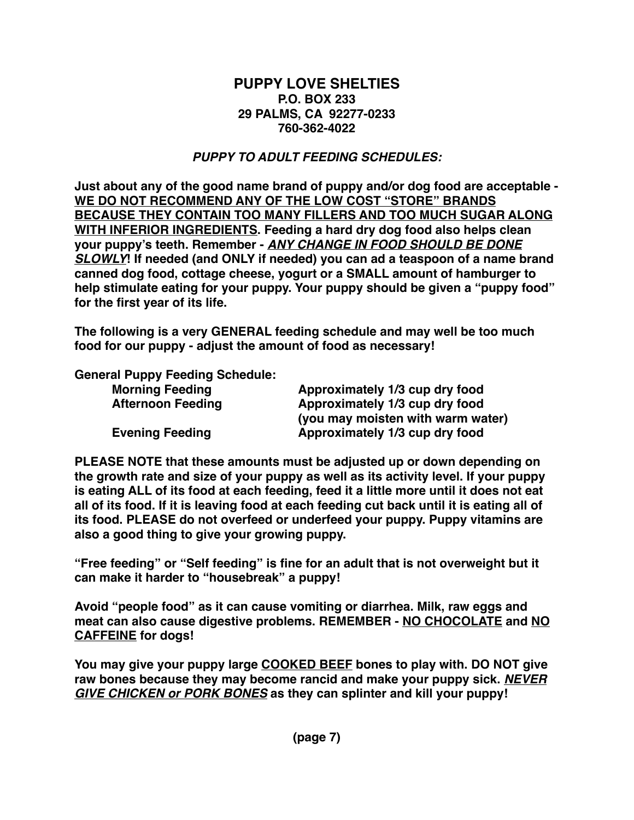## **PUPPY LOVE SHELTIES P.O. BOX 233 29 PALMS, CA 92277-0233 760-362-4022**

# *PUPPY TO ADULT FEEDING SCHEDULES:*

**Just about any of the good name brand of puppy and/or dog food are acceptable - WE DO NOT RECOMMEND ANY OF THE LOW COST "STORE" BRANDS BECAUSE THEY CONTAIN TOO MANY FILLERS AND TOO MUCH SUGAR ALONG WITH INFERIOR INGREDIENTS. Feeding a hard dry dog food also helps clean your puppy's teeth. Remember -** *ANY CHANGE IN FOOD SHOULD BE DONE SLOWLY***! If needed (and ONLY if needed) you can ad a teaspoon of a name brand canned dog food, cottage cheese, yogurt or a SMALL amount of hamburger to help stimulate eating for your puppy. Your puppy should be given a "puppy food" for the first year of its life.**

**The following is a very GENERAL feeding schedule and may well be too much food for our puppy - adjust the amount of food as necessary!** 

**General Puppy Feeding Schedule:**

| Approximately 1/3 cup dry food    |
|-----------------------------------|
| Approximately 1/3 cup dry food    |
| (you may moisten with warm water) |
| Approximately 1/3 cup dry food    |
|                                   |

**PLEASE NOTE that these amounts must be adjusted up or down depending on the growth rate and size of your puppy as well as its activity level. If your puppy is eating ALL of its food at each feeding, feed it a little more until it does not eat all of its food. If it is leaving food at each feeding cut back until it is eating all of its food. PLEASE do not overfeed or underfeed your puppy. Puppy vitamins are also a good thing to give your growing puppy.**

**"Free feeding" or "Self feeding" is fine for an adult that is not overweight but it can make it harder to "housebreak" a puppy!**

**Avoid "people food" as it can cause vomiting or diarrhea. Milk, raw eggs and meat can also cause digestive problems. REMEMBER - NO CHOCOLATE and NO CAFFEINE for dogs!**

**You may give your puppy large COOKED BEEF bones to play with. DO NOT give raw bones because they may become rancid and make your puppy sick.** *NEVER GIVE CHICKEN or PORK BONES* **as they can splinter and kill your puppy!**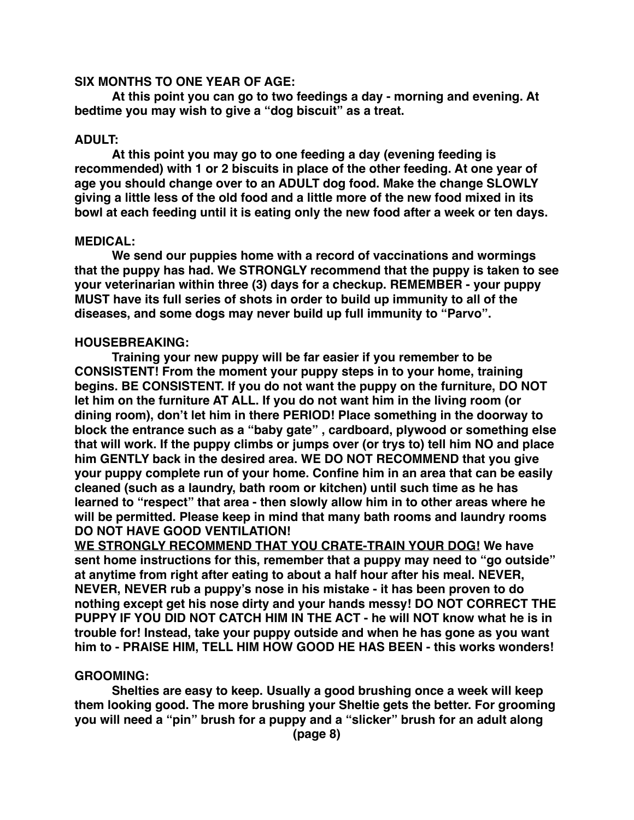### **SIX MONTHS TO ONE YEAR OF AGE:**

**At this point you can go to two feedings a day - morning and evening. At bedtime you may wish to give a "dog biscuit" as a treat.**

### **ADULT:**

**At this point you may go to one feeding a day (evening feeding is recommended) with 1 or 2 biscuits in place of the other feeding. At one year of age you should change over to an ADULT dog food. Make the change SLOWLY giving a little less of the old food and a little more of the new food mixed in its bowl at each feeding until it is eating only the new food after a week or ten days.**

### **MEDICAL:**

**We send our puppies home with a record of vaccinations and wormings that the puppy has had. We STRONGLY recommend that the puppy is taken to see your veterinarian within three (3) days for a checkup. REMEMBER - your puppy MUST have its full series of shots in order to build up immunity to all of the diseases, and some dogs may never build up full immunity to "Parvo".**

### **HOUSEBREAKING:**

**Training your new puppy will be far easier if you remember to be CONSISTENT! From the moment your puppy steps in to your home, training begins. BE CONSISTENT. If you do not want the puppy on the furniture, DO NOT let him on the furniture AT ALL. If you do not want him in the living room (or dining room), don't let him in there PERIOD! Place something in the doorway to block the entrance such as a "baby gate" , cardboard, plywood or something else that will work. If the puppy climbs or jumps over (or trys to) tell him NO and place him GENTLY back in the desired area. WE DO NOT RECOMMEND that you give your puppy complete run of your home. Confine him in an area that can be easily cleaned (such as a laundry, bath room or kitchen) until such time as he has learned to "respect" that area - then slowly allow him in to other areas where he will be permitted. Please keep in mind that many bath rooms and laundry rooms DO NOT HAVE GOOD VENTILATION!**

**WE STRONGLY RECOMMEND THAT YOU CRATE-TRAIN YOUR DOG! We have sent home instructions for this, remember that a puppy may need to "go outside" at anytime from right after eating to about a half hour after his meal. NEVER, NEVER, NEVER rub a puppy's nose in his mistake - it has been proven to do nothing except get his nose dirty and your hands messy! DO NOT CORRECT THE PUPPY IF YOU DID NOT CATCH HIM IN THE ACT - he will NOT know what he is in trouble for! Instead, take your puppy outside and when he has gone as you want him to - PRAISE HIM, TELL HIM HOW GOOD HE HAS BEEN - this works wonders!**

### **GROOMING:**

**Shelties are easy to keep. Usually a good brushing once a week will keep them looking good. The more brushing your Sheltie gets the better. For grooming you will need a "pin" brush for a puppy and a "slicker" brush for an adult along**